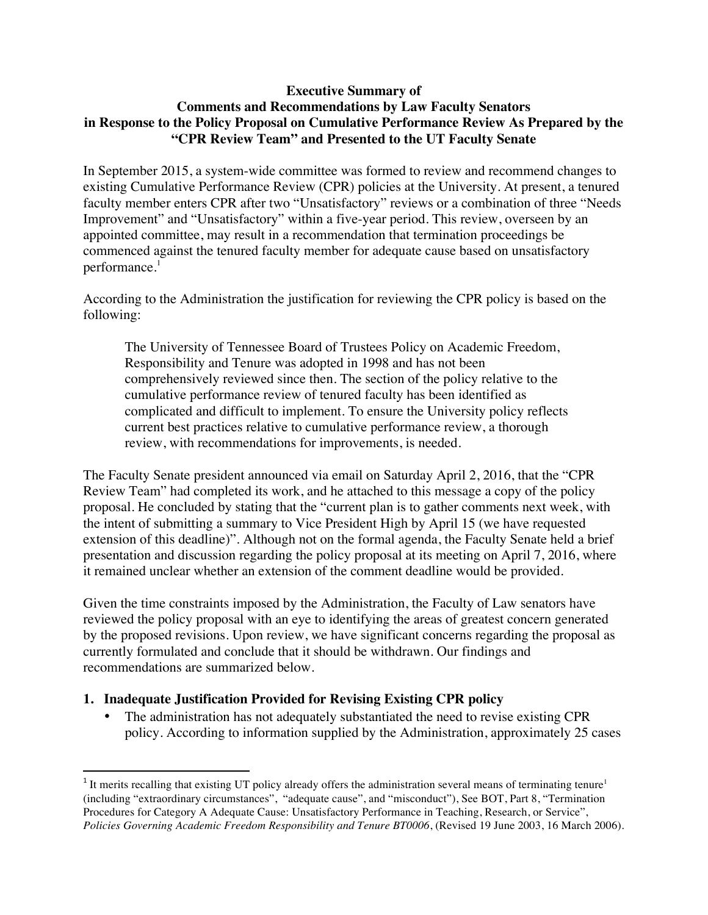## **Executive Summary of Comments and Recommendations by Law Faculty Senators in Response to the Policy Proposal on Cumulative Performance Review As Prepared by the "CPR Review Team" and Presented to the UT Faculty Senate**

In September 2015, a system-wide committee was formed to review and recommend changes to existing Cumulative Performance Review (CPR) policies at the University. At present, a tenured faculty member enters CPR after two "Unsatisfactory" reviews or a combination of three "Needs Improvement" and "Unsatisfactory" within a five-year period. This review, overseen by an appointed committee, may result in a recommendation that termination proceedings be commenced against the tenured faculty member for adequate cause based on unsatisfactory performance.<sup>1</sup>

According to the Administration the justification for reviewing the CPR policy is based on the following:

The University of Tennessee Board of Trustees Policy on Academic Freedom, Responsibility and Tenure was adopted in 1998 and has not been comprehensively reviewed since then. The section of the policy relative to the cumulative performance review of tenured faculty has been identified as complicated and difficult to implement. To ensure the University policy reflects current best practices relative to cumulative performance review, a thorough review, with recommendations for improvements, is needed.

The Faculty Senate president announced via email on Saturday April 2, 2016, that the "CPR Review Team" had completed its work, and he attached to this message a copy of the policy proposal. He concluded by stating that the "current plan is to gather comments next week, with the intent of submitting a summary to Vice President High by April 15 (we have requested extension of this deadline)". Although not on the formal agenda, the Faculty Senate held a brief presentation and discussion regarding the policy proposal at its meeting on April 7, 2016, where it remained unclear whether an extension of the comment deadline would be provided.

Given the time constraints imposed by the Administration, the Faculty of Law senators have reviewed the policy proposal with an eye to identifying the areas of greatest concern generated by the proposed revisions. Upon review, we have significant concerns regarding the proposal as currently formulated and conclude that it should be withdrawn. Our findings and recommendations are summarized below.

## **1. Inadequate Justification Provided for Revising Existing CPR policy**

• The administration has not adequately substantiated the need to revise existing CPR policy. According to information supplied by the Administration, approximately 25 cases

 $1$  It merits recalling that existing UT policy already offers the administration several means of terminating tenure<sup>1</sup> (including "extraordinary circumstances", "adequate cause", and "misconduct"), See BOT, Part 8, "Termination Procedures for Category A Adequate Cause: Unsatisfactory Performance in Teaching, Research, or Service", *Policies Governing Academic Freedom Responsibility and Tenure BT0006*, (Revised 19 June 2003, 16 March 2006).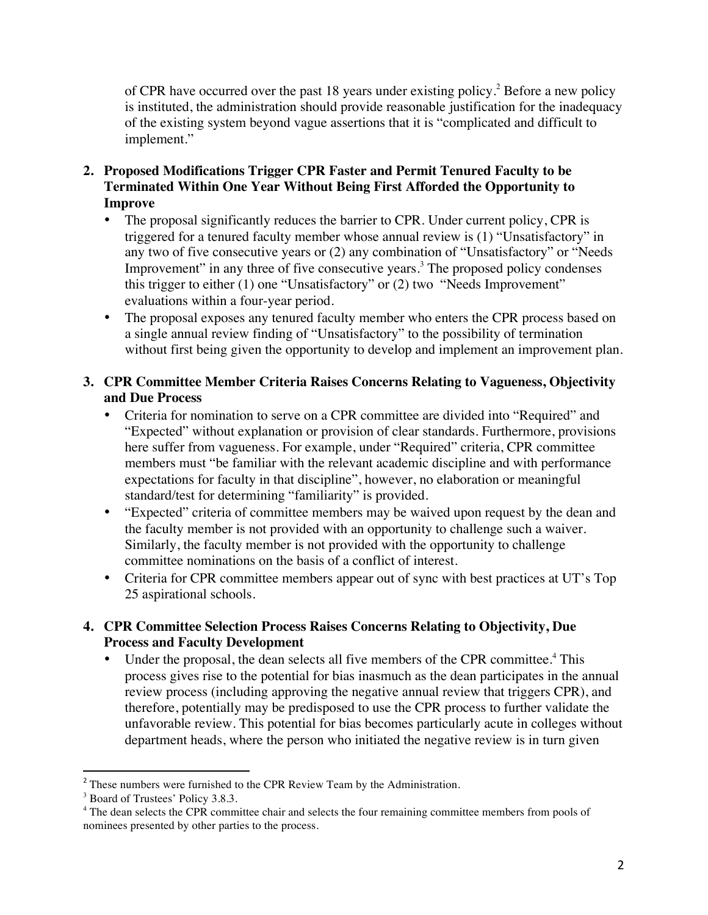of CPR have occurred over the past 18 years under existing policy.<sup>2</sup> Before a new policy is instituted, the administration should provide reasonable justification for the inadequacy of the existing system beyond vague assertions that it is "complicated and difficult to implement."

- **2. Proposed Modifications Trigger CPR Faster and Permit Tenured Faculty to be Terminated Within One Year Without Being First Afforded the Opportunity to Improve**
	- The proposal significantly reduces the barrier to CPR. Under current policy, CPR is triggered for a tenured faculty member whose annual review is (1) "Unsatisfactory" in any two of five consecutive years or (2) any combination of "Unsatisfactory" or "Needs Improvement" in any three of five consecutive years.<sup>3</sup> The proposed policy condenses this trigger to either (1) one "Unsatisfactory" or (2) two "Needs Improvement" evaluations within a four-year period.
	- The proposal exposes any tenured faculty member who enters the CPR process based on a single annual review finding of "Unsatisfactory" to the possibility of termination without first being given the opportunity to develop and implement an improvement plan.
- **3. CPR Committee Member Criteria Raises Concerns Relating to Vagueness, Objectivity and Due Process** 
	- Criteria for nomination to serve on a CPR committee are divided into "Required" and "Expected" without explanation or provision of clear standards. Furthermore, provisions here suffer from vagueness. For example, under "Required" criteria, CPR committee members must "be familiar with the relevant academic discipline and with performance expectations for faculty in that discipline", however, no elaboration or meaningful standard/test for determining "familiarity" is provided.
	- "Expected" criteria of committee members may be waived upon request by the dean and the faculty member is not provided with an opportunity to challenge such a waiver. Similarly, the faculty member is not provided with the opportunity to challenge committee nominations on the basis of a conflict of interest.
	- Criteria for CPR committee members appear out of sync with best practices at UT's Top 25 aspirational schools.
- **4. CPR Committee Selection Process Raises Concerns Relating to Objectivity, Due Process and Faculty Development**
	- Under the proposal, the dean selects all five members of the CPR committee.<sup>4</sup> This process gives rise to the potential for bias inasmuch as the dean participates in the annual review process (including approving the negative annual review that triggers CPR), and therefore, potentially may be predisposed to use the CPR process to further validate the unfavorable review. This potential for bias becomes particularly acute in colleges without department heads, where the person who initiated the negative review is in turn given

<sup>&</sup>lt;sup>2</sup> These numbers were furnished to the CPR Review Team by the Administration.

<sup>&</sup>lt;sup>3</sup> Board of Trustees' Policy 3.8.3.

<sup>&</sup>lt;sup>4</sup> The dean selects the CPR committee chair and selects the four remaining committee members from pools of nominees presented by other parties to the process.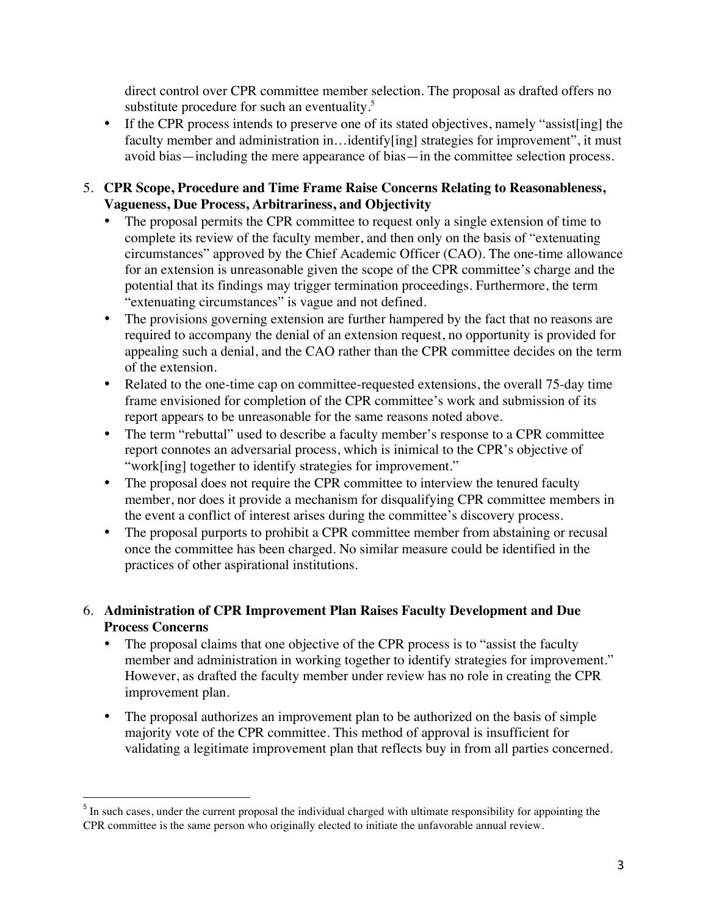direct control over CPR committee member selection. The proposal as drafted offers no substitute procedure for such an eventuality.<sup>5</sup>

- If the CPR process intends to preserve one of its stated objectives, namely "assist [ing] the faculty member and administration in...identify[ing] strategies for improvement", it must avoid bias—including the mere appearance of bias—in the committee selection process.
- 5. **CPR Scope, Procedure and Time Frame Raise Concerns Relating to Reasonableness, Vagueness, Due Process, Arbitrariness, and Objectivity** 
	- The proposal permits the CPR committee to request only a single extension of time to complete its review of the faculty member, and then only on the basis of "extenuating circumstances" approved by the Chief Academic Officer (CAO). The one-time allowance for an extension is unreasonable given the scope of the CPR committee's charge and the potential that its findings may trigger termination proceedings. Furthermore, the term "extenuating circumstances" is vague and not defined.
	- The provisions governing extension are further hampered by the fact that no reasons are required to accompany the denial of an extension request, no opportunity is provided for appealing such a denial, and the CAO rather than the CPR committee decides on the term of the extension.
	- Related to the one-time cap on committee-requested extensions, the overall 75-day time frame envisioned for completion of the CPR committee's work and submission of its report appears to be unreasonable for the same reasons noted above.
	- The term "rebuttal" used to describe a faculty member's response to a CPR committee report connotes an adversarial process, which is inimical to the CPR's objective of "work[ing] together to identify strategies for improvement."
	- The proposal does not require the CPR committee to interview the tenured faculty member, nor does it provide a mechanism for disqualifying CPR committee members in the event a conflict of interest arises during the committee's discovery process.
	- The proposal purports to prohibit a CPR committee member from abstaining or recusal once the committee has been charged. No similar measure could be identified in the practices of other aspirational institutions.
- 6. **Administration of CPR Improvement Plan Raises Faculty Development and Due Process Concerns**
	- The proposal claims that one objective of the CPR process is to "assist the faculty" member and administration in working together to identify strategies for improvement." However, as drafted the faculty member under review has no role in creating the CPR improvement plan.
	- The proposal authorizes an improvement plan to be authorized on the basis of simple majority vote of the CPR committee. This method of approval is insufficient for validating a legitimate improvement plan that reflects buy in from all parties concerned.

<sup>&</sup>lt;sup>5</sup> In such cases, under the current proposal the individual charged with ultimate responsibility for appointing the CPR committee is the same person who originally elected to initiate the unfavorable annual review.